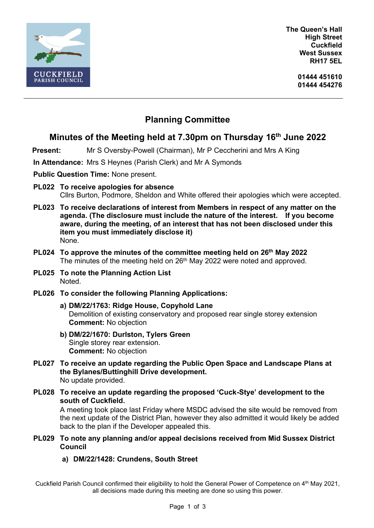

**The Queen's Hall High Street Cuckfield West Sussex RH17 5EL**

> **01444 451610 01444 454276**

# **Planning Committee**

## **Minutes of the Meeting held at 7.30pm on Thursday 16 th June 2022**

**Present:** Mr S Oversby-Powell (Chairman), Mr P Ceccherini and Mrs A King

**In Attendance:** Mrs S Heynes (Parish Clerk) and Mr A Symonds

**Public Question Time:** None present.

- **PL022 To receive apologies for absence** Cllrs Burton, Podmore, Sheldon and White offered their apologies which were accepted.
- **PL023 To receive declarations of interest from Members in respect of any matter on the agenda. (The disclosure must include the nature of the interest. If you become aware, during the meeting, of an interest that has not been disclosed under this item you must immediately disclose it)** None.
- **PL024 To approve the minutes of the committee meeting held on 26 th May 2022** The minutes of the meeting held on 26<sup>th</sup> May 2022 were noted and approved.
- **PL025 To note the Planning Action List** Noted.
- **PL026 To consider the following Planning Applications:**
	- **a) DM/22/1763: Ridge House, Copyhold Lane** Demolition of existing conservatory and proposed rear single storey extension **Comment:** No objection
	- **b) DM/22/1670: Durlston, Tylers Green** Single storey rear extension. **Comment:** No objection
- **PL027 To receive an update regarding the Public Open Space and Landscape Plans at the Bylanes/Buttinghill Drive development.** No update provided.
- **PL028 To receive an update regarding the proposed 'Cuck-Stye' development to the south of Cuckfield.**

A meeting took place last Friday where MSDC advised the site would be removed from the next update of the District Plan, however they also admitted it would likely be added back to the plan if the Developer appealed this.

- **PL029 To note any planning and/or appeal decisions received from Mid Sussex District Council**
	- **a) DM/22/1428: Crundens, South Street**

Cuckfield Parish Council confirmed their eligibility to hold the General Power of Competence on 4th May 2021, all decisions made during this meeting are done so using this power.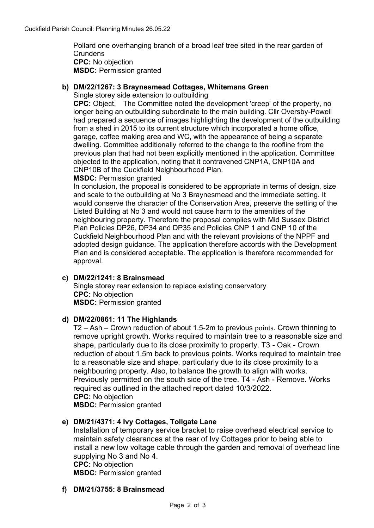Pollard one overhanging branch of a broad leaf tree sited in the rear garden of **Crundens CPC:** No objection **MSDC:** Permission granted

## **b) DM/22/1267: 3 Braynesmead Cottages, Whitemans Green**

Single storey side extension to outbuilding

**CPC:** Object. The Committee noted the development 'creep' of the property, no longer being an outbuilding subordinate to the main building. Cllr Oversby-Powell had prepared a sequence of images highlighting the development of the outbuilding from a shed in 2015 to its current structure which incorporated a home office, garage, coffee making area and WC, with the appearance of being a separate dwelling. Committee additionally referred to the change to the roofline from the previous plan that had not been explicitly mentioned in the application. Committee objected to the application, noting that it contravened CNP1A, CNP10A and CNP10B of the Cuckfield Neighbourhood Plan.

**MSDC:** Permission granted

In conclusion, the proposal is considered to be appropriate in terms of design, size and scale to the outbuilding at No 3 Braynesmead and the immediate setting. It would conserve the character of the Conservation Area, preserve the setting of the Listed Building at No 3 and would not cause harm to the amenities of the neighbouring property. Therefore the proposal complies with Mid Sussex District Plan Policies DP26, DP34 and DP35 and Policies CNP 1 and CNP 10 of the Cuckfield Neighbourhood Plan and with the relevant provisions of the NPPF and adopted design guidance. The application therefore accords with the Development Plan and is considered acceptable. The application is therefore recommended for approval.

#### **c) DM/22/1241: 8 Brainsmead**

Single storey rear extension to replace existing conservatory **CPC:** No objection **MSDC:** Permission granted

### **d) DM/22/0861: 11 The Highlands**

T2 – Ash – Crown reduction of about 1.5-2m to previous points[. Crown thinning to](https://pa.midsussex.gov.uk/online-applications/applicationDetails.do?keyVal=R8SIS0KT0G200&activeTab=summary)  [remove upright growth. Works required to maintain tree to a reasonable size and](https://pa.midsussex.gov.uk/online-applications/applicationDetails.do?keyVal=R8SIS0KT0G200&activeTab=summary)  [shape, particularly due to its close proximity to property. T3 -](https://pa.midsussex.gov.uk/online-applications/applicationDetails.do?keyVal=R8SIS0KT0G200&activeTab=summary) Oak - Crown [reduction of about 1.5m back to previous points. Works required to maintain tree](https://pa.midsussex.gov.uk/online-applications/applicationDetails.do?keyVal=R8SIS0KT0G200&activeTab=summary)  [to a reasonable size and shape, particularly due to its close proximity to a](https://pa.midsussex.gov.uk/online-applications/applicationDetails.do?keyVal=R8SIS0KT0G200&activeTab=summary)  [neighbouring property. Also, to balance the growth to align with works.](https://pa.midsussex.gov.uk/online-applications/applicationDetails.do?keyVal=R8SIS0KT0G200&activeTab=summary)  [Previously permitted on the south side of the tree. T4 -](https://pa.midsussex.gov.uk/online-applications/applicationDetails.do?keyVal=R8SIS0KT0G200&activeTab=summary) Ash - Remove. Works [required as outlined in the attached report dated 10/3/2022.](https://pa.midsussex.gov.uk/online-applications/applicationDetails.do?keyVal=R8SIS0KT0G200&activeTab=summary) **CPC:** No objection **MSDC:** Permission granted

#### **e) DM/21/4371: 4 Ivy Cottages, Tollgate Lane**

[Installation of temporary service bracket to raise overhead electrical service to](https://pa.midsussex.gov.uk/online-applications/applicationDetails.do?keyVal=R4KP9CKT0DA00&activeTab=summary)  [maintain safety clearances at the rear of Ivy Cottages prior to being able to](https://pa.midsussex.gov.uk/online-applications/applicationDetails.do?keyVal=R4KP9CKT0DA00&activeTab=summary)  [install a new low voltage cable through the garden and removal of overhead line](https://pa.midsussex.gov.uk/online-applications/applicationDetails.do?keyVal=R4KP9CKT0DA00&activeTab=summary)  [supplying No 3 and No 4.](https://pa.midsussex.gov.uk/online-applications/applicationDetails.do?keyVal=R4KP9CKT0DA00&activeTab=summary) **CPC:** No objection

**MSDC:** Permission granted

#### **f) DM/21/3755: 8 Brainsmead**